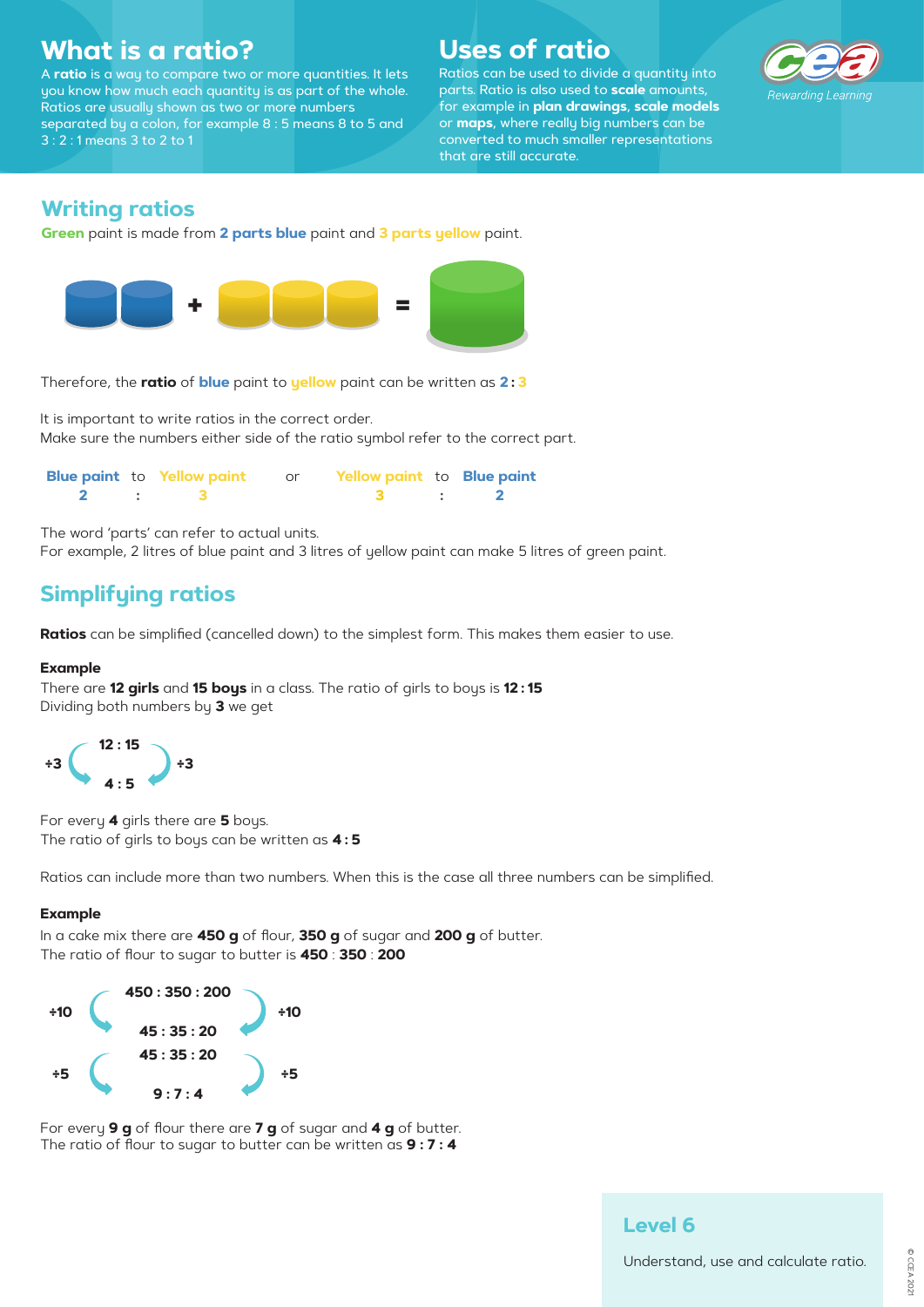## **What is a ratio?**

A **ratio** is a way to compare two or more quantities. It lets you know how much each quantity is as part of the whole. Ratios are usually shown as two or more numbers separated by a colon, for example 8 : 5 means 8 to 5 and 3 : 2 : 1 means 3 to 2 to 1

# **Uses of ratio**

Ratios can be used to divide a quantity into parts. Ratio is also used to **scale** amounts, for example in **plan drawings**, **scale models** or **maps**, where really big numbers can be converted to much smaller representations that are still accurate.



## **Writing ratios**

**Green** paint is made from **2 parts blue** paint and **3 parts yellow** paint.

Therefore, the **ratio** of **blue** paint to **yellow** paint can be written as **2 : 3**

It is important to write ratios in the correct order. Make sure the numbers either side of the ratio symbol refer to the correct part.

|  | <b>Blue paint to Yellow paint or Yellow paint to Blue paint</b> |  |  |
|--|-----------------------------------------------------------------|--|--|
|  |                                                                 |  |  |

The word 'parts' can refer to actual units.

For example, 2 litres of blue paint and 3 litres of yellow paint can make 5 litres of green paint.

## **Simplifying ratios**

**Ratios** can be simplified (cancelled down) to the simplest form. This makes them easier to use.

#### **Example**

There are **12 girls** and **15 boys** in a class. The ratio of girls to boys is **12 : 15** Dividing both numbers by **3** we ge<sup>t</sup>



For every **4** girls there are **5** boys. The ratio of girls to boys can be written as **4 : 5**

Ratios can include more than two numbers. When this is the case all three numbers can be simplified.

#### **Example**

In a cake mix there are **450 g** of flour, **350 g** of sugar and **200 g** of butter. The ratio of flour to sugar to butter is **450** : **350** : **200**



For every **9 g** of flour there are **7 g** of sugar and **4 g** of butter. The ratio of flour to sugar to butter can be written as **9 : 7 : 4**



### **Level 6**

Understand, use and calculate ratio.